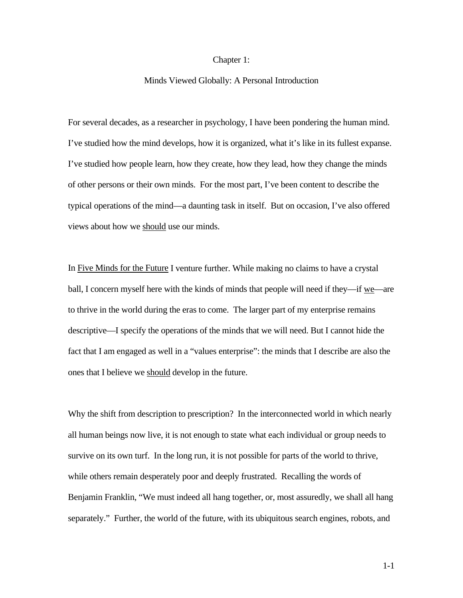### Chapter 1:

## Minds Viewed Globally: A Personal Introduction

For several decades, as a researcher in psychology, I have been pondering the human mind. I've studied how the mind develops, how it is organized, what it's like in its fullest expanse. I've studied how people learn, how they create, how they lead, how they change the minds of other persons or their own minds. For the most part, I've been content to describe the typical operations of the mind—a daunting task in itself. But on occasion, I've also offered views about how we should use our minds.

In Five Minds for the Future I venture further. While making no claims to have a crystal ball, I concern myself here with the kinds of minds that people will need if they—if  $\underline{we}$ —are to thrive in the world during the eras to come. The larger part of my enterprise remains descriptive—I specify the operations of the minds that we will need. But I cannot hide the fact that I am engaged as well in a "values enterprise": the minds that I describe are also the ones that I believe we should develop in the future.

Why the shift from description to prescription? In the interconnected world in which nearly all human beings now live, it is not enough to state what each individual or group needs to survive on its own turf. In the long run, it is not possible for parts of the world to thrive, while others remain desperately poor and deeply frustrated. Recalling the words of Benjamin Franklin, "We must indeed all hang together, or, most assuredly, we shall all hang separately." Further, the world of the future, with its ubiquitous search engines, robots, and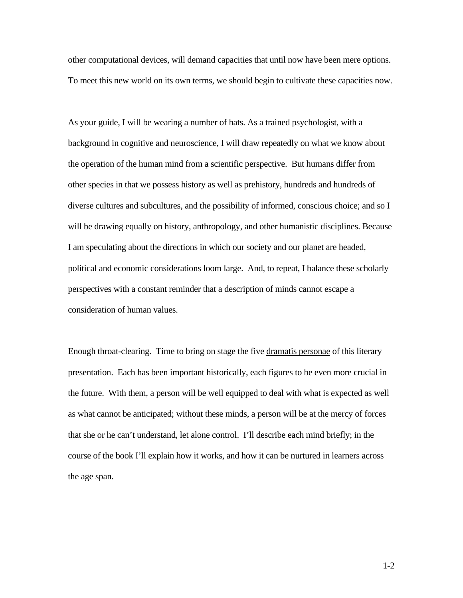other computational devices, will demand capacities that until now have been mere options. To meet this new world on its own terms, we should begin to cultivate these capacities now.

As your guide, I will be wearing a number of hats. As a trained psychologist, with a background in cognitive and neuroscience, I will draw repeatedly on what we know about the operation of the human mind from a scientific perspective. But humans differ from other species in that we possess history as well as prehistory, hundreds and hundreds of diverse cultures and subcultures, and the possibility of informed, conscious choice; and so I will be drawing equally on history, anthropology, and other humanistic disciplines. Because I am speculating about the directions in which our society and our planet are headed, political and economic considerations loom large. And, to repeat, I balance these scholarly perspectives with a constant reminder that a description of minds cannot escape a consideration of human values.

Enough throat-clearing. Time to bring on stage the five dramatis personae of this literary presentation. Each has been important historically, each figures to be even more crucial in the future. With them, a person will be well equipped to deal with what is expected as well as what cannot be anticipated; without these minds, a person will be at the mercy of forces that she or he can't understand, let alone control. I'll describe each mind briefly; in the course of the book I'll explain how it works, and how it can be nurtured in learners across the age span.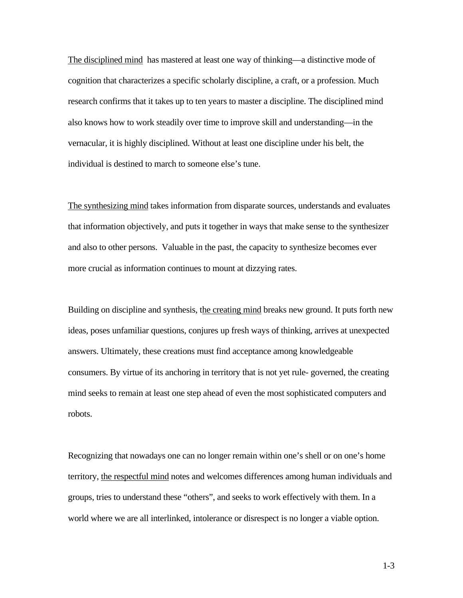The disciplined mind has mastered at least one way of thinking—a distinctive mode of cognition that characterizes a specific scholarly discipline, a craft, or a profession. Much research confirms that it takes up to ten years to master a discipline. The disciplined mind also knows how to work steadily over time to improve skill and understanding—in the vernacular, it is highly disciplined. Without at least one discipline under his belt, the individual is destined to march to someone else's tune.

The synthesizing mind takes information from disparate sources, understands and evaluates that information objectively, and puts it together in ways that make sense to the synthesizer and also to other persons. Valuable in the past, the capacity to synthesize becomes ever more crucial as information continues to mount at dizzying rates.

Building on discipline and synthesis, the creating mind breaks new ground. It puts forth new ideas, poses unfamiliar questions, conjures up fresh ways of thinking, arrives at unexpected answers. Ultimately, these creations must find acceptance among knowledgeable consumers. By virtue of its anchoring in territory that is not yet rule- governed, the creating mind seeks to remain at least one step ahead of even the most sophisticated computers and robots.

Recognizing that nowadays one can no longer remain within one's shell or on one's home territory, the respectful mind notes and welcomes differences among human individuals and groups, tries to understand these "others", and seeks to work effectively with them. In a world where we are all interlinked, intolerance or disrespect is no longer a viable option.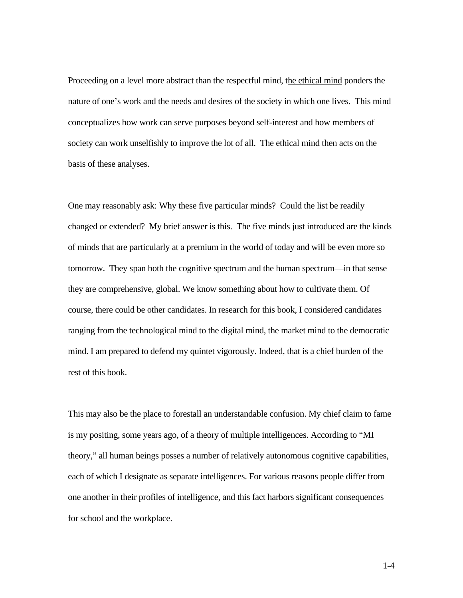Proceeding on a level more abstract than the respectful mind, the ethical mind ponders the nature of one's work and the needs and desires of the society in which one lives. This mind conceptualizes how work can serve purposes beyond self-interest and how members of society can work unselfishly to improve the lot of all. The ethical mind then acts on the basis of these analyses.

One may reasonably ask: Why these five particular minds? Could the list be readily changed or extended? My brief answer is this. The five minds just introduced are the kinds of minds that are particularly at a premium in the world of today and will be even more so tomorrow. They span both the cognitive spectrum and the human spectrum—in that sense they are comprehensive, global. We know something about how to cultivate them. Of course, there could be other candidates. In research for this book, I considered candidates ranging from the technological mind to the digital mind, the market mind to the democratic mind. I am prepared to defend my quintet vigorously. Indeed, that is a chief burden of the rest of this book.

This may also be the place to forestall an understandable confusion. My chief claim to fame is my positing, some years ago, of a theory of multiple intelligences. According to "MI theory," all human beings posses a number of relatively autonomous cognitive capabilities, each of which I designate as separate intelligences. For various reasons people differ from one another in their profiles of intelligence, and this fact harbors significant consequences for school and the workplace.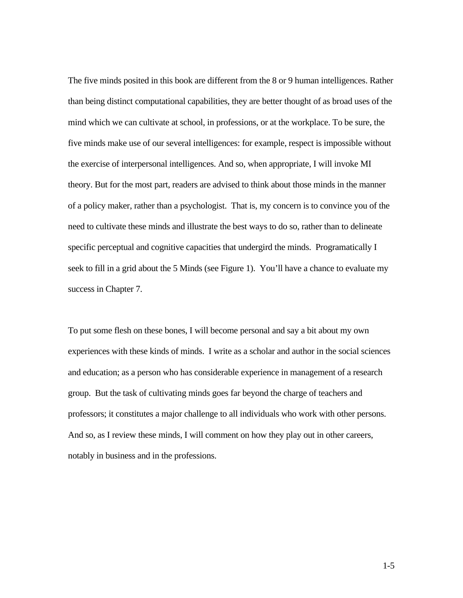The five minds posited in this book are different from the 8 or 9 human intelligences. Rather than being distinct computational capabilities, they are better thought of as broad uses of the mind which we can cultivate at school, in professions, or at the workplace. To be sure, the five minds make use of our several intelligences: for example, respect is impossible without the exercise of interpersonal intelligences. And so, when appropriate, I will invoke MI theory. But for the most part, readers are advised to think about those minds in the manner of a policy maker, rather than a psychologist. That is, my concern is to convince you of the need to cultivate these minds and illustrate the best ways to do so, rather than to delineate specific perceptual and cognitive capacities that undergird the minds. Programatically I seek to fill in a grid about the 5 Minds (see Figure 1). You'll have a chance to evaluate my success in Chapter 7.

To put some flesh on these bones, I will become personal and say a bit about my own experiences with these kinds of minds. I write as a scholar and author in the social sciences and education; as a person who has considerable experience in management of a research group. But the task of cultivating minds goes far beyond the charge of teachers and professors; it constitutes a major challenge to all individuals who work with other persons. And so, as I review these minds, I will comment on how they play out in other careers, notably in business and in the professions.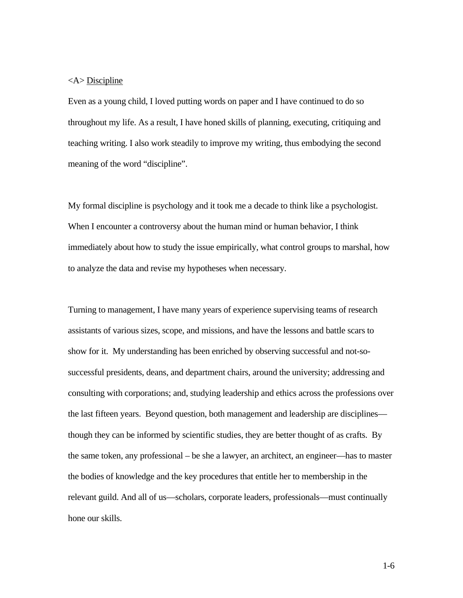# <A> Discipline

Even as a young child, I loved putting words on paper and I have continued to do so throughout my life. As a result, I have honed skills of planning, executing, critiquing and teaching writing. I also work steadily to improve my writing, thus embodying the second meaning of the word "discipline".

My formal discipline is psychology and it took me a decade to think like a psychologist. When I encounter a controversy about the human mind or human behavior, I think immediately about how to study the issue empirically, what control groups to marshal, how to analyze the data and revise my hypotheses when necessary.

Turning to management, I have many years of experience supervising teams of research assistants of various sizes, scope, and missions, and have the lessons and battle scars to show for it. My understanding has been enriched by observing successful and not-sosuccessful presidents, deans, and department chairs, around the university; addressing and consulting with corporations; and, studying leadership and ethics across the professions over the last fifteen years. Beyond question, both management and leadership are disciplines though they can be informed by scientific studies, they are better thought of as crafts. By the same token, any professional – be she a lawyer, an architect, an engineer—has to master the bodies of knowledge and the key procedures that entitle her to membership in the relevant guild. And all of us—scholars, corporate leaders, professionals—must continually hone our skills.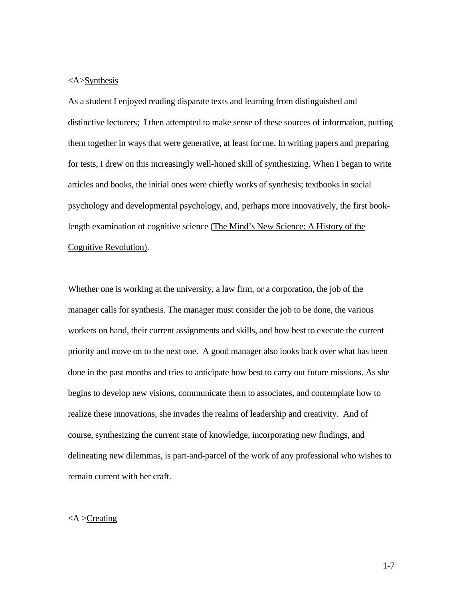# <A>Synthesis

As a student I enjoyed reading disparate texts and learning from distinguished and distinctive lecturers; I then attempted to make sense of these sources of information, putting them together in ways that were generative, at least for me. In writing papers and preparing for tests, I drew on this increasingly well-honed skill of synthesizing. When I began to write articles and books, the initial ones were chiefly works of synthesis; textbooks in social psychology and developmental psychology, and, perhaps more innovatively, the first booklength examination of cognitive science (The Mind's New Science: A History of the Cognitive Revolution).

Whether one is working at the university, a law firm, or a corporation, the job of the manager calls for synthesis. The manager must consider the job to be done, the various workers on hand, their current assignments and skills, and how best to execute the current priority and move on to the next one. A good manager also looks back over what has been done in the past months and tries to anticipate how best to carry out future missions. As she begins to develop new visions, communicate them to associates, and contemplate how to realize these innovations, she invades the realms of leadership and creativity. And of course, synthesizing the current state of knowledge, incorporating new findings, and delineating new dilemmas, is part-and-parcel of the work of any professional who wishes to remain current with her craft.

### $\langle A \rangle$ Creating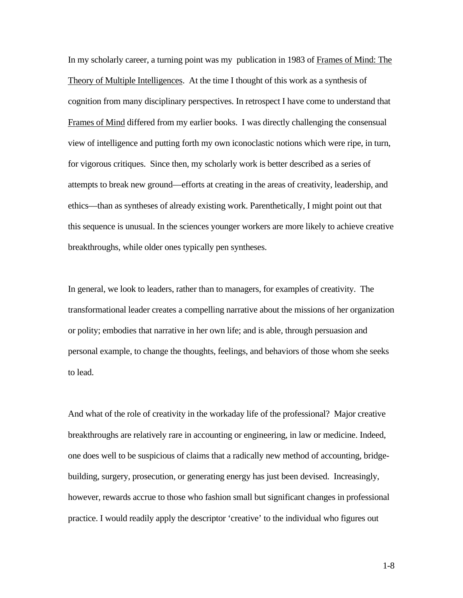In my scholarly career, a turning point was my publication in 1983 of Frames of Mind: The Theory of Multiple Intelligences. At the time I thought of this work as a synthesis of cognition from many disciplinary perspectives. In retrospect I have come to understand that Frames of Mind differed from my earlier books. I was directly challenging the consensual view of intelligence and putting forth my own iconoclastic notions which were ripe, in turn, for vigorous critiques. Since then, my scholarly work is better described as a series of attempts to break new ground—efforts at creating in the areas of creativity, leadership, and ethics—than as syntheses of already existing work. Parenthetically, I might point out that this sequence is unusual. In the sciences younger workers are more likely to achieve creative breakthroughs, while older ones typically pen syntheses.

In general, we look to leaders, rather than to managers, for examples of creativity. The transformational leader creates a compelling narrative about the missions of her organization or polity; embodies that narrative in her own life; and is able, through persuasion and personal example, to change the thoughts, feelings, and behaviors of those whom she seeks to lead.

And what of the role of creativity in the workaday life of the professional? Major creative breakthroughs are relatively rare in accounting or engineering, in law or medicine. Indeed, one does well to be suspicious of claims that a radically new method of accounting, bridgebuilding, surgery, prosecution, or generating energy has just been devised. Increasingly, however, rewards accrue to those who fashion small but significant changes in professional practice. I would readily apply the descriptor 'creative' to the individual who figures out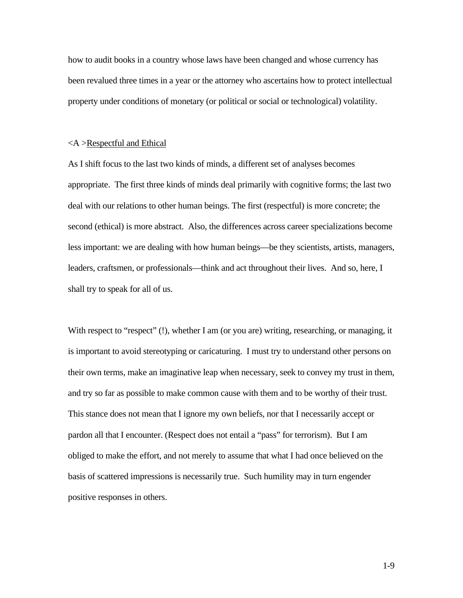how to audit books in a country whose laws have been changed and whose currency has been revalued three times in a year or the attorney who ascertains how to protect intellectual property under conditions of monetary (or political or social or technological) volatility.

#### <A >Respectful and Ethical

As I shift focus to the last two kinds of minds, a different set of analyses becomes appropriate. The first three kinds of minds deal primarily with cognitive forms; the last two deal with our relations to other human beings. The first (respectful) is more concrete; the second (ethical) is more abstract. Also, the differences across career specializations become less important: we are dealing with how human beings—be they scientists, artists, managers, leaders, craftsmen, or professionals—think and act throughout their lives. And so, here, I shall try to speak for all of us.

With respect to "respect" (!), whether I am (or you are) writing, researching, or managing, it is important to avoid stereotyping or caricaturing. I must try to understand other persons on their own terms, make an imaginative leap when necessary, seek to convey my trust in them, and try so far as possible to make common cause with them and to be worthy of their trust. This stance does not mean that I ignore my own beliefs, nor that I necessarily accept or pardon all that I encounter. (Respect does not entail a "pass" for terrorism). But I am obliged to make the effort, and not merely to assume that what I had once believed on the basis of scattered impressions is necessarily true. Such humility may in turn engender positive responses in others.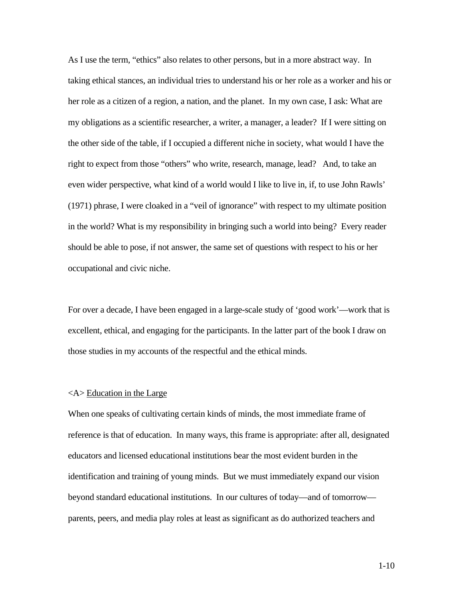As I use the term, "ethics" also relates to other persons, but in a more abstract way. In taking ethical stances, an individual tries to understand his or her role as a worker and his or her role as a citizen of a region, a nation, and the planet. In my own case, I ask: What are my obligations as a scientific researcher, a writer, a manager, a leader? If I were sitting on the other side of the table, if I occupied a different niche in society, what would I have the right to expect from those "others" who write, research, manage, lead? And, to take an even wider perspective, what kind of a world would I like to live in, if, to use John Rawls' (1971) phrase, I were cloaked in a "veil of ignorance" with respect to my ultimate position in the world? What is my responsibility in bringing such a world into being? Every reader should be able to pose, if not answer, the same set of questions with respect to his or her occupational and civic niche.

For over a decade, I have been engaged in a large-scale study of 'good work'—work that is excellent, ethical, and engaging for the participants. In the latter part of the book I draw on those studies in my accounts of the respectful and the ethical minds.

### <A> Education in the Large

When one speaks of cultivating certain kinds of minds, the most immediate frame of reference is that of education. In many ways, this frame is appropriate: after all, designated educators and licensed educational institutions bear the most evident burden in the identification and training of young minds. But we must immediately expand our vision beyond standard educational institutions. In our cultures of today—and of tomorrow parents, peers, and media play roles at least as significant as do authorized teachers and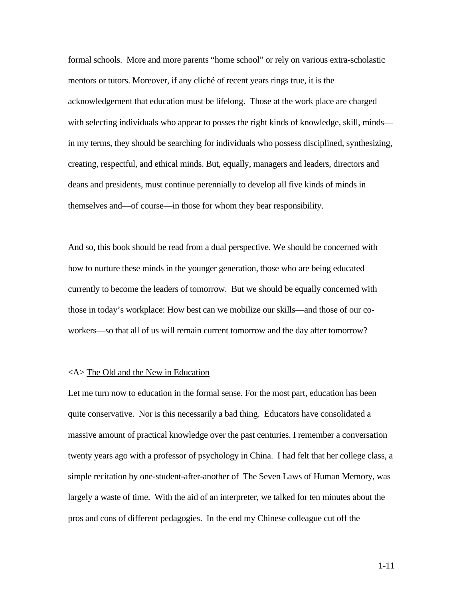formal schools. More and more parents "home school" or rely on various extra-scholastic mentors or tutors. Moreover, if any cliché of recent years rings true, it is the acknowledgement that education must be lifelong. Those at the work place are charged with selecting individuals who appear to posses the right kinds of knowledge, skill, minds in my terms, they should be searching for individuals who possess disciplined, synthesizing, creating, respectful, and ethical minds. But, equally, managers and leaders, directors and deans and presidents, must continue perennially to develop all five kinds of minds in themselves and—of course—in those for whom they bear responsibility.

And so, this book should be read from a dual perspective. We should be concerned with how to nurture these minds in the younger generation, those who are being educated currently to become the leaders of tomorrow. But we should be equally concerned with those in today's workplace: How best can we mobilize our skills—and those of our coworkers—so that all of us will remain current tomorrow and the day after tomorrow?

# <A> The Old and the New in Education

Let me turn now to education in the formal sense. For the most part, education has been quite conservative. Nor is this necessarily a bad thing. Educators have consolidated a massive amount of practical knowledge over the past centuries. I remember a conversation twenty years ago with a professor of psychology in China. I had felt that her college class, a simple recitation by one-student-after-another of The Seven Laws of Human Memory, was largely a waste of time. With the aid of an interpreter, we talked for ten minutes about the pros and cons of different pedagogies. In the end my Chinese colleague cut off the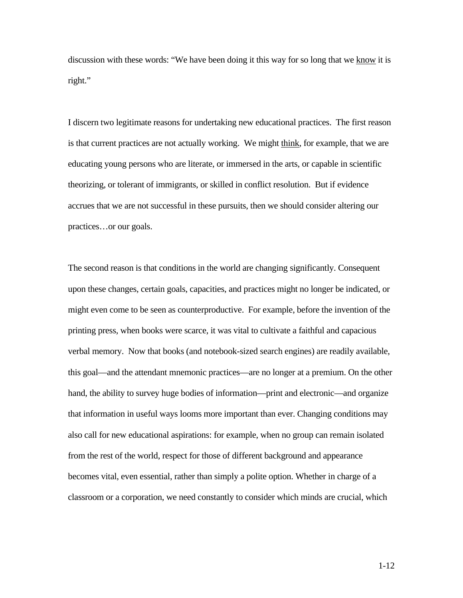discussion with these words: "We have been doing it this way for so long that we know it is right."

I discern two legitimate reasons for undertaking new educational practices. The first reason is that current practices are not actually working. We might think, for example, that we are educating young persons who are literate, or immersed in the arts, or capable in scientific theorizing, or tolerant of immigrants, or skilled in conflict resolution. But if evidence accrues that we are not successful in these pursuits, then we should consider altering our practices…or our goals.

The second reason is that conditions in the world are changing significantly. Consequent upon these changes, certain goals, capacities, and practices might no longer be indicated, or might even come to be seen as counterproductive. For example, before the invention of the printing press, when books were scarce, it was vital to cultivate a faithful and capacious verbal memory. Now that books (and notebook-sized search engines) are readily available, this goal—and the attendant mnemonic practices—are no longer at a premium. On the other hand, the ability to survey huge bodies of information—print and electronic—and organize that information in useful ways looms more important than ever. Changing conditions may also call for new educational aspirations: for example, when no group can remain isolated from the rest of the world, respect for those of different background and appearance becomes vital, even essential, rather than simply a polite option. Whether in charge of a classroom or a corporation, we need constantly to consider which minds are crucial, which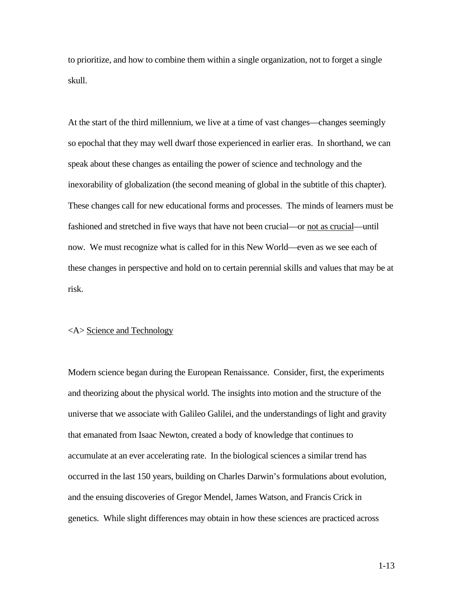to prioritize, and how to combine them within a single organization, not to forget a single skull.

At the start of the third millennium, we live at a time of vast changes—changes seemingly so epochal that they may well dwarf those experienced in earlier eras. In shorthand, we can speak about these changes as entailing the power of science and technology and the inexorability of globalization (the second meaning of global in the subtitle of this chapter). These changes call for new educational forms and processes. The minds of learners must be fashioned and stretched in five ways that have not been crucial—or not as crucial—until now. We must recognize what is called for in this New World—even as we see each of these changes in perspective and hold on to certain perennial skills and values that may be at risk.

#### <A> Science and Technology

Modern science began during the European Renaissance. Consider, first, the experiments and theorizing about the physical world. The insights into motion and the structure of the universe that we associate with Galileo Galilei, and the understandings of light and gravity that emanated from Isaac Newton, created a body of knowledge that continues to accumulate at an ever accelerating rate. In the biological sciences a similar trend has occurred in the last 150 years, building on Charles Darwin's formulations about evolution, and the ensuing discoveries of Gregor Mendel, James Watson, and Francis Crick in genetics. While slight differences may obtain in how these sciences are practiced across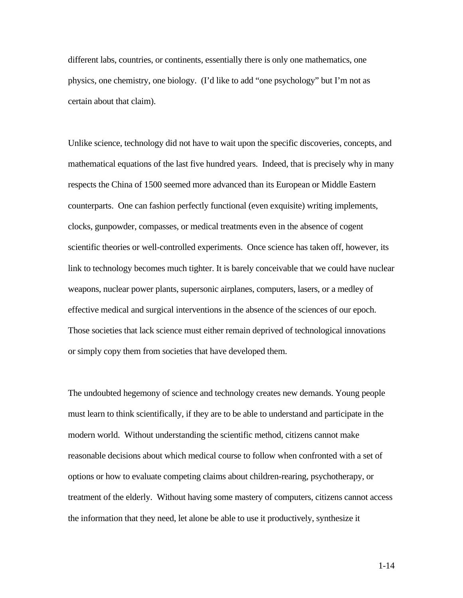different labs, countries, or continents, essentially there is only one mathematics, one physics, one chemistry, one biology. (I'd like to add "one psychology" but I'm not as certain about that claim).

Unlike science, technology did not have to wait upon the specific discoveries, concepts, and mathematical equations of the last five hundred years. Indeed, that is precisely why in many respects the China of 1500 seemed more advanced than its European or Middle Eastern counterparts. One can fashion perfectly functional (even exquisite) writing implements, clocks, gunpowder, compasses, or medical treatments even in the absence of cogent scientific theories or well-controlled experiments. Once science has taken off, however, its link to technology becomes much tighter. It is barely conceivable that we could have nuclear weapons, nuclear power plants, supersonic airplanes, computers, lasers, or a medley of effective medical and surgical interventions in the absence of the sciences of our epoch. Those societies that lack science must either remain deprived of technological innovations or simply copy them from societies that have developed them.

The undoubted hegemony of science and technology creates new demands. Young people must learn to think scientifically, if they are to be able to understand and participate in the modern world. Without understanding the scientific method, citizens cannot make reasonable decisions about which medical course to follow when confronted with a set of options or how to evaluate competing claims about children-rearing, psychotherapy, or treatment of the elderly. Without having some mastery of computers, citizens cannot access the information that they need, let alone be able to use it productively, synthesize it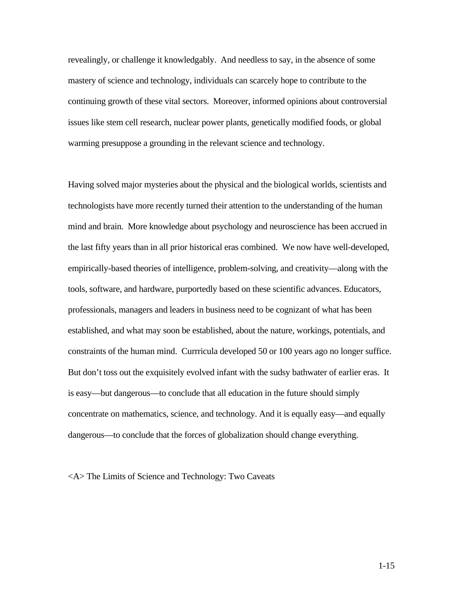revealingly, or challenge it knowledgably. And needless to say, in the absence of some mastery of science and technology, individuals can scarcely hope to contribute to the continuing growth of these vital sectors. Moreover, informed opinions about controversial issues like stem cell research, nuclear power plants, genetically modified foods, or global warming presuppose a grounding in the relevant science and technology.

Having solved major mysteries about the physical and the biological worlds, scientists and technologists have more recently turned their attention to the understanding of the human mind and brain. More knowledge about psychology and neuroscience has been accrued in the last fifty years than in all prior historical eras combined. We now have well-developed, empirically-based theories of intelligence, problem-solving, and creativity—along with the tools, software, and hardware, purportedly based on these scientific advances. Educators, professionals, managers and leaders in business need to be cognizant of what has been established, and what may soon be established, about the nature, workings, potentials, and constraints of the human mind. Currricula developed 50 or 100 years ago no longer suffice. But don't toss out the exquisitely evolved infant with the sudsy bathwater of earlier eras. It is easy—but dangerous—to conclude that all education in the future should simply concentrate on mathematics, science, and technology. And it is equally easy—and equally dangerous—to conclude that the forces of globalization should change everything.

<A> The Limits of Science and Technology: Two Caveats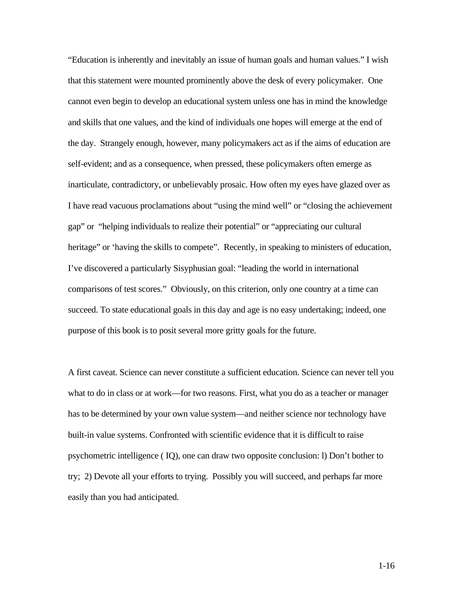"Education is inherently and inevitably an issue of human goals and human values." I wish that this statement were mounted prominently above the desk of every policymaker. One cannot even begin to develop an educational system unless one has in mind the knowledge and skills that one values, and the kind of individuals one hopes will emerge at the end of the day. Strangely enough, however, many policymakers act as if the aims of education are self-evident; and as a consequence, when pressed, these policymakers often emerge as inarticulate, contradictory, or unbelievably prosaic. How often my eyes have glazed over as I have read vacuous proclamations about "using the mind well" or "closing the achievement gap" or "helping individuals to realize their potential" or "appreciating our cultural heritage" or 'having the skills to compete". Recently, in speaking to ministers of education, I've discovered a particularly Sisyphusian goal: "leading the world in international comparisons of test scores." Obviously, on this criterion, only one country at a time can succeed. To state educational goals in this day and age is no easy undertaking; indeed, one purpose of this book is to posit several more gritty goals for the future.

A first caveat. Science can never constitute a sufficient education. Science can never tell you what to do in class or at work—for two reasons. First, what you do as a teacher or manager has to be determined by your own value system—and neither science nor technology have built-in value systems. Confronted with scientific evidence that it is difficult to raise psychometric intelligence ( IQ), one can draw two opposite conclusion: l) Don't bother to try; 2) Devote all your efforts to trying. Possibly you will succeed, and perhaps far more easily than you had anticipated.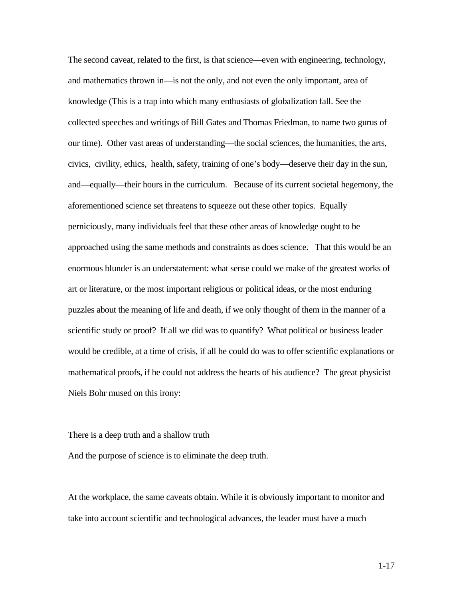The second caveat, related to the first, is that science—even with engineering, technology, and mathematics thrown in—is not the only, and not even the only important, area of knowledge (This is a trap into which many enthusiasts of globalization fall. See the collected speeches and writings of Bill Gates and Thomas Friedman, to name two gurus of our time). Other vast areas of understanding—the social sciences, the humanities, the arts, civics, civility, ethics, health, safety, training of one's body—deserve their day in the sun, and—equally—their hours in the curriculum. Because of its current societal hegemony, the aforementioned science set threatens to squeeze out these other topics. Equally perniciously, many individuals feel that these other areas of knowledge ought to be approached using the same methods and constraints as does science. That this would be an enormous blunder is an understatement: what sense could we make of the greatest works of art or literature, or the most important religious or political ideas, or the most enduring puzzles about the meaning of life and death, if we only thought of them in the manner of a scientific study or proof? If all we did was to quantify? What political or business leader would be credible, at a time of crisis, if all he could do was to offer scientific explanations or mathematical proofs, if he could not address the hearts of his audience? The great physicist Niels Bohr mused on this irony:

#### There is a deep truth and a shallow truth

And the purpose of science is to eliminate the deep truth.

At the workplace, the same caveats obtain. While it is obviously important to monitor and take into account scientific and technological advances, the leader must have a much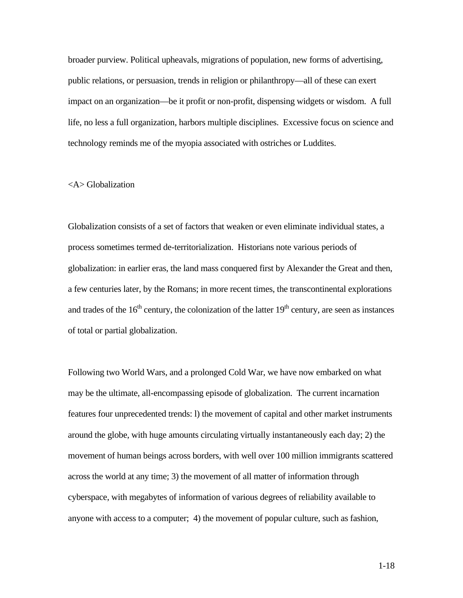broader purview. Political upheavals, migrations of population, new forms of advertising, public relations, or persuasion, trends in religion or philanthropy—all of these can exert impact on an organization—be it profit or non-profit, dispensing widgets or wisdom. A full life, no less a full organization, harbors multiple disciplines. Excessive focus on science and technology reminds me of the myopia associated with ostriches or Luddites.

### <A> Globalization

Globalization consists of a set of factors that weaken or even eliminate individual states, a process sometimes termed de-territorialization. Historians note various periods of globalization: in earlier eras, the land mass conquered first by Alexander the Great and then, a few centuries later, by the Romans; in more recent times, the transcontinental explorations and trades of the  $16<sup>th</sup>$  century, the colonization of the latter  $19<sup>th</sup>$  century, are seen as instances of total or partial globalization.

Following two World Wars, and a prolonged Cold War, we have now embarked on what may be the ultimate, all-encompassing episode of globalization. The current incarnation features four unprecedented trends: l) the movement of capital and other market instruments around the globe, with huge amounts circulating virtually instantaneously each day; 2) the movement of human beings across borders, with well over 100 million immigrants scattered across the world at any time; 3) the movement of all matter of information through cyberspace, with megabytes of information of various degrees of reliability available to anyone with access to a computer; 4) the movement of popular culture, such as fashion,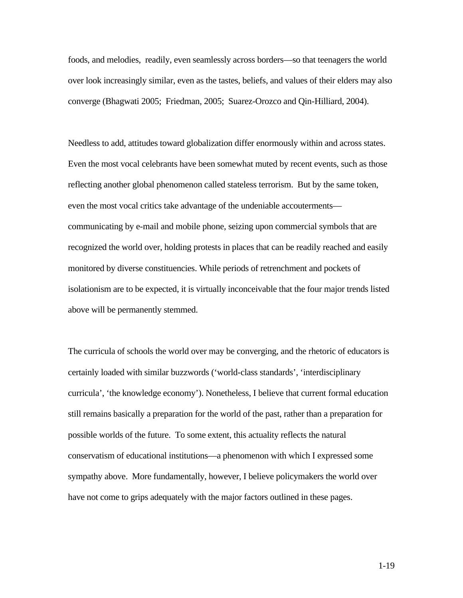foods, and melodies, readily, even seamlessly across borders—so that teenagers the world over look increasingly similar, even as the tastes, beliefs, and values of their elders may also converge (Bhagwati 2005; Friedman, 2005; Suarez-Orozco and Qin-Hilliard, 2004).

Needless to add, attitudes toward globalization differ enormously within and across states. Even the most vocal celebrants have been somewhat muted by recent events, such as those reflecting another global phenomenon called stateless terrorism. But by the same token, even the most vocal critics take advantage of the undeniable accouterments communicating by e-mail and mobile phone, seizing upon commercial symbols that are recognized the world over, holding protests in places that can be readily reached and easily monitored by diverse constituencies. While periods of retrenchment and pockets of isolationism are to be expected, it is virtually inconceivable that the four major trends listed above will be permanently stemmed.

The curricula of schools the world over may be converging, and the rhetoric of educators is certainly loaded with similar buzzwords ('world-class standards', 'interdisciplinary curricula', 'the knowledge economy'). Nonetheless, I believe that current formal education still remains basically a preparation for the world of the past, rather than a preparation for possible worlds of the future. To some extent, this actuality reflects the natural conservatism of educational institutions—a phenomenon with which I expressed some sympathy above. More fundamentally, however, I believe policymakers the world over have not come to grips adequately with the major factors outlined in these pages.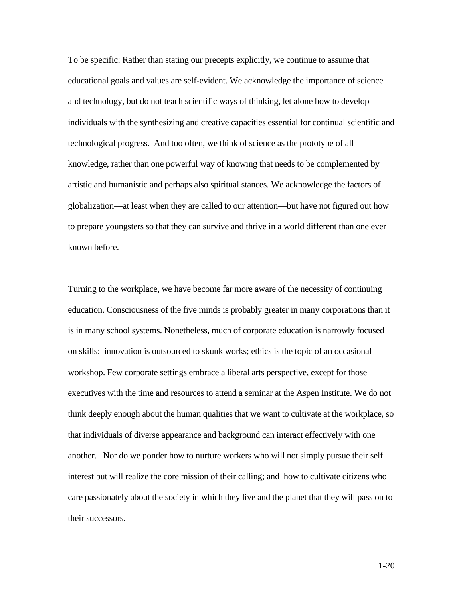To be specific: Rather than stating our precepts explicitly, we continue to assume that educational goals and values are self-evident. We acknowledge the importance of science and technology, but do not teach scientific ways of thinking, let alone how to develop individuals with the synthesizing and creative capacities essential for continual scientific and technological progress. And too often, we think of science as the prototype of all knowledge, rather than one powerful way of knowing that needs to be complemented by artistic and humanistic and perhaps also spiritual stances. We acknowledge the factors of globalization—at least when they are called to our attention—but have not figured out how to prepare youngsters so that they can survive and thrive in a world different than one ever known before.

Turning to the workplace, we have become far more aware of the necessity of continuing education. Consciousness of the five minds is probably greater in many corporations than it is in many school systems. Nonetheless, much of corporate education is narrowly focused on skills: innovation is outsourced to skunk works; ethics is the topic of an occasional workshop. Few corporate settings embrace a liberal arts perspective, except for those executives with the time and resources to attend a seminar at the Aspen Institute. We do not think deeply enough about the human qualities that we want to cultivate at the workplace, so that individuals of diverse appearance and background can interact effectively with one another. Nor do we ponder how to nurture workers who will not simply pursue their self interest but will realize the core mission of their calling; and how to cultivate citizens who care passionately about the society in which they live and the planet that they will pass on to their successors.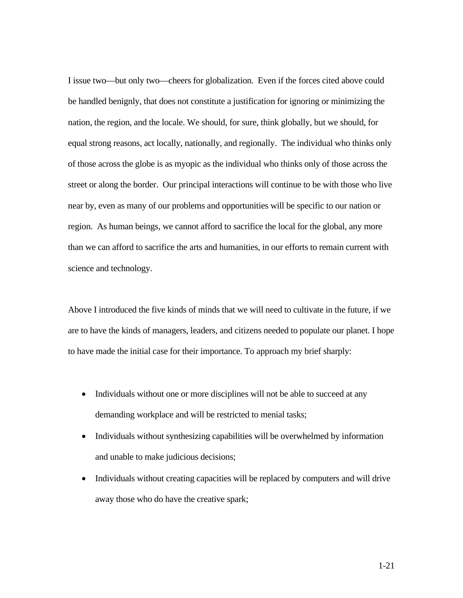I issue two—but only two—cheers for globalization. Even if the forces cited above could be handled benignly, that does not constitute a justification for ignoring or minimizing the nation, the region, and the locale. We should, for sure, think globally, but we should, for equal strong reasons, act locally, nationally, and regionally. The individual who thinks only of those across the globe is as myopic as the individual who thinks only of those across the street or along the border. Our principal interactions will continue to be with those who live near by, even as many of our problems and opportunities will be specific to our nation or region. As human beings, we cannot afford to sacrifice the local for the global, any more than we can afford to sacrifice the arts and humanities, in our efforts to remain current with science and technology.

Above I introduced the five kinds of minds that we will need to cultivate in the future, if we are to have the kinds of managers, leaders, and citizens needed to populate our planet. I hope to have made the initial case for their importance. To approach my brief sharply:

- Individuals without one or more disciplines will not be able to succeed at any demanding workplace and will be restricted to menial tasks;
- Individuals without synthesizing capabilities will be overwhelmed by information and unable to make judicious decisions;
- Individuals without creating capacities will be replaced by computers and will drive away those who do have the creative spark;